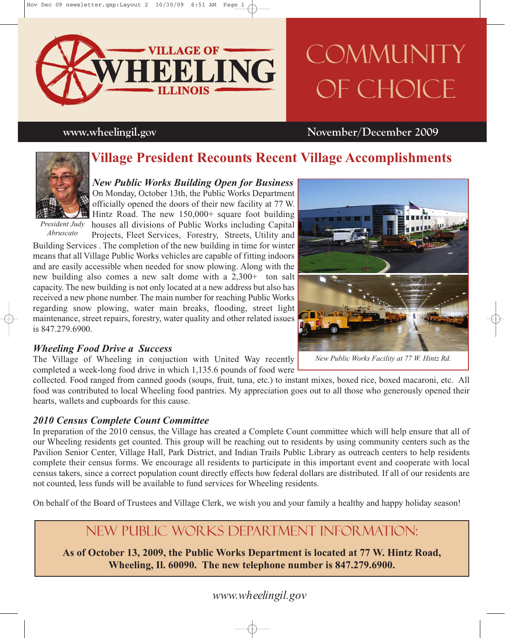

# COMMUNITY OF CHOICE

### **www.wheelingil.gov November/December 2009**

### **Village President Recounts Recent Village Accomplishments**



*President Judy Abruscato*

*New Public Works Building Open for Business* On Monday, October 13th, the Public Works Department officially opened the doors of their new facility at 77 W. Hintz Road. The new 150,000+ square foot building houses all divisions of Public Works including Capital Projects, Fleet Services, Forestry, Streets, Utility and

Building Services . The completion of the new building in time for winter means that all Village Public Works vehicles are capable of fitting indoors and are easily accessible when needed for snow plowing. Along with the new building also comes a new salt dome with a 2,300+ ton salt capacity. The new building is not only located at a new address but also has received a new phone number. The main number for reaching Public Works regarding snow plowing, water main breaks, flooding, street light maintenance, street repairs, forestry, water quality and other related issues is 847.279.6900.

#### *Wheeling Food Drive a Success*

The Village of Wheeling in conjuction with United Way recently completed a week-long food drive in which 1,135.6 pounds of food were

collected. Food ranged from canned goods (soups, fruit, tuna, etc.) to instant mixes, boxed rice, boxed macaroni, etc. All food was contributed to local Wheeling food pantries. My appreciation goes out to all those who generously opened their hearts, wallets and cupboards for this cause.

#### *2010 Census Complete Count Committee*

In preparation of the 2010 census, the Village has created a Complete Count committee which will help ensure that all of our Wheeling residents get counted. This group will be reaching out to residents by using community centers such as the Pavilion Senior Center, Village Hall, Park District, and Indian Trails Public Library as outreach centers to help residents complete their census forms. We encourage all residents to participate in this important event and cooperate with local census takers, since a correct population count directly effects how federal dollars are distributed. If all of our residents are not counted, less funds will be available to fund services for Wheeling residents.

On behalf of the Board of Trustees and Village Clerk, we wish you and your family a healthy and happy holiday season!

### New Public Works Department Information:

**As of October 13, 2009, the Public Works Department is located at 77 W. Hintz Road, Wheeling, Il. 60090. The new telephone number is 847.279.6900.**



*New Public Works Facility at 77 W. Hintz Rd.*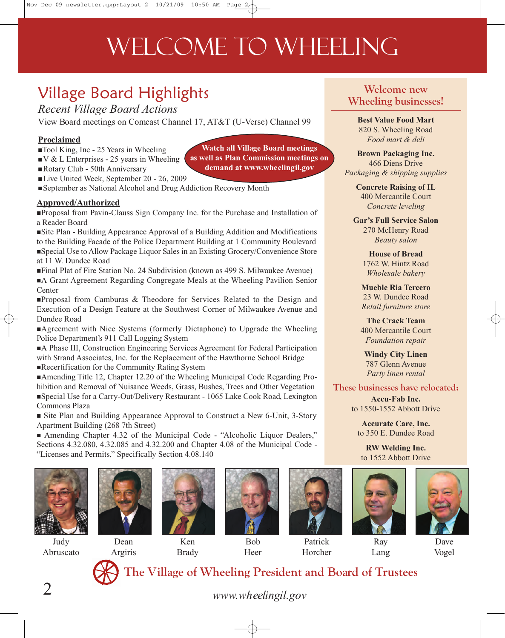## WELCOME TO WHEELING

## Village Board Highlights

*Recent Village Board Actions*

View Board meetings on Comcast Channel 17, AT&T (U-Verse) Channel 99

#### **Proclaimed**

- ■Tool King, Inc 25 Years in Wheeling
- $\mathbb{V} \& \mathbb{L}$  Enterprises 25 years in Wheeling
- Rotary Club 50th Anniversary
- **Watch all Village Board meetings as well as Plan Commission meetings on demand at www.wheelingil.gov**
- Live United Week, September 20 26, 2009
- September as National Alcohol and Drug Addiction Recovery Month

#### **Approved/Authorized**

Proposal from Pavin-Clauss Sign Company Inc. for the Purchase and Installation of a Reader Board

Site Plan - Building Appearance Approval of a Building Addition and Modifications to the Building Facade of the Police Department Building at 1 Community Boulevard Special Use to Allow Package Liquor Sales in an Existing Grocery/Convenience Store at 11 W. Dundee Road

Final Plat of Fire Station No. 24 Subdivision (known as 499 S. Milwaukee Avenue) A Grant Agreement Regarding Congregate Meals at the Wheeling Pavilion Senior **Center** 

Proposal from Camburas & Theodore for Services Related to the Design and Execution of a Design Feature at the Southwest Corner of Milwaukee Avenue and Dundee Road

Agreement with Nice Systems (formerly Dictaphone) to Upgrade the Wheeling Police Department's 911 Call Logging System

A Phase III, Construction Engineering Services Agreement for Federal Participation with Strand Associates, Inc. for the Replacement of the Hawthorne School Bridge Recertification for the Community Rating System

Amending Title 12, Chapter 12.20 of the Wheeling Municipal Code Regarding Prohibition and Removal of Nuisance Weeds, Grass, Bushes, Trees and Other Vegetation Special Use for a Carry-Out/Delivery Restaurant - 1065 Lake Cook Road, Lexington Commons Plaza

 Site Plan and Building Appearance Approval to Construct a New 6-Unit, 3-Story Apartment Building (268 7th Street)

 Amending Chapter 4.32 of the Municipal Code - "Alcoholic Liquor Dealers," Sections 4.32.080, 4.32.085 and 4.32.200 and Chapter 4.08 of the Municipal Code - "Licenses and Permits," Specifically Section 4.08.140



Judy Abruscato



Dean Argiris



Ken Brady



Bob Heer



Patrick Horcher

#### *Food mart & deli* **Brown Packaging Inc.** 466 Diens Drive *Packaging & shipping supplies*

**Welcome new Wheeling businesses!**

> **Best Value Food Mart** 820 S. Wheeling Road

**Concrete Raising of IL** 400 Mercantile Court *Concrete leveling*

**Gar's Full Service Salon** 270 McHenry Road *Beauty salon*

> **House of Bread** 1762 W. Hintz Road *Wholesale bakery*

**Mueble Ria Tercero** 23 W. Dundee Road *Retail furniture store*

**The Crack Team** 400 Mercantile Court *Foundation repair*

**Windy City Linen** 787 Glenn Avenue *Party linen rental*

**These businesses have relocated:**

**Accu-Fab Inc.** to 1550-1552 Abbott Drive

**Accurate Care, Inc.** to 350 E. Dundee Road

**RW Welding Inc.** to 1552 Abbott Drive



Lang



Vogel



**The Village of Wheeling President and Board of Trustees**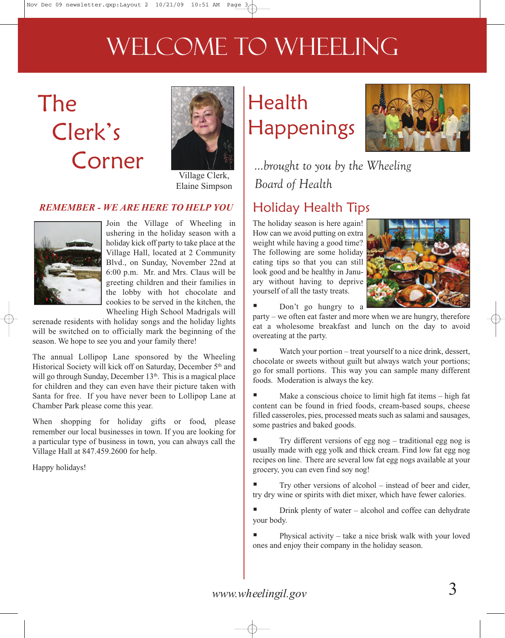## WELCOME TO WHEELING

## The Clerk's Corner



Village Clerk, Elaine Simpson

### *REMEMBER - WE ARE HERE TO HELP YOU*



Join the Village of Wheeling in ushering in the holiday season with a holiday kick off party to take place at the Village Hall, located at 2 Community Blvd., on Sunday, November 22nd at 6:00 p.m. Mr. and Mrs. Claus will be greeting children and their families in the lobby with hot chocolate and cookies to be served in the kitchen, the Wheeling High School Madrigals will

serenade residents with holiday songs and the holiday lights will be switched on to officially mark the beginning of the season. We hope to see you and your family there!

The annual Lollipop Lane sponsored by the Wheeling Historical Society will kick off on Saturday, December 5<sup>th</sup> and will go through Sunday, December 13<sup>th</sup>. This is a magical place for children and they can even have their picture taken with Santa for free. If you have never been to Lollipop Lane at Chamber Park please come this year.

When shopping for holiday gifts or food, please remember our local businesses in town. If you are looking for a particular type of business in town, you can always call the Village Hall at 847.459.2600 for help.

Happy holidays!

## Health **Happenings**



*...brought to you by the Wheeling Board of Health*

### Holiday Health Tips

The holiday season is here again! How can we avoid putting on extra weight while having a good time? The following are some holiday eating tips so that you can still look good and be healthy in January without having to deprive yourself of all the tasty treats.



Don't go hungry to a

party – we often eat faster and more when we are hungry, therefore eat a wholesome breakfast and lunch on the day to avoid overeating at the party.

Watch your portion – treat yourself to a nice drink, dessert, chocolate or sweets without guilt but always watch your portions; go for small portions. This way you can sample many different foods. Moderation is always the key.

 Make a conscious choice to limit high fat items – high fat content can be found in fried foods, cream-based soups, cheese filled casseroles, pies, processed meats such as salami and sausages, some pastries and baked goods.

 Try different versions of egg nog – traditional egg nog is usually made with egg yolk and thick cream. Find low fat egg nog recipes on line. There are several low fat egg nogs available at your grocery, you can even find soy nog!

 Try other versions of alcohol – instead of beer and cider, try dry wine or spirits with diet mixer, which have fewer calories.

 Drink plenty of water – alcohol and coffee can dehydrate your body.

 Physical activity – take a nice brisk walk with your loved ones and enjoy their company in the holiday season.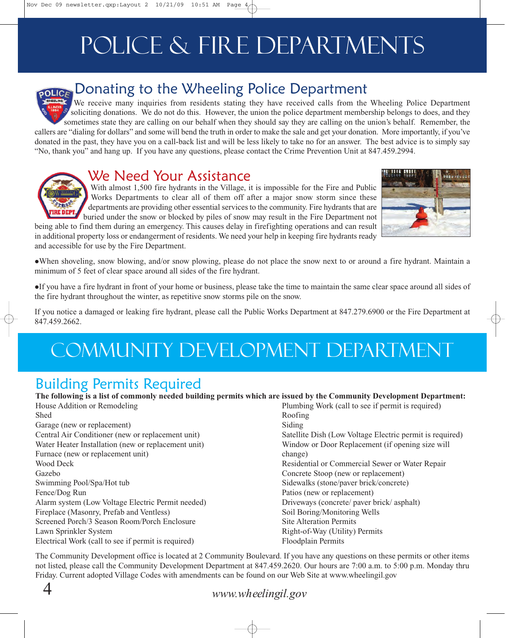## Police & Fire Departments

### Donating to the Wheeling Police Department

We receive many inquiries from residents stating they have received calls from the Wheeling Police Department soliciting donations. We do not do this. However, the union the police department membership belongs to does, and they sometimes state they are calling on our behalf when they should say they are calling on the union's behalf. Remember, the callers are "dialing for dollars" and some will bend the truth in order to make the sale and get your donation. More importantly, if you've donated in the past, they have you on a call-back list and will be less likely to take no for an answer. The best advice is to simply say "No, thank you" and hang up. If you have any questions, please contact the Crime Prevention Unit at 847.459.2994.

### We Need Your Assistance

With almost 1,500 fire hydrants in the Village, it is impossible for the Fire and Public Works Departments to clear all of them off after a major snow storm since these departments are providing other essential services to the community. Fire hydrants that are buried under the snow or blocked by piles of snow may result in the Fire Department not

being able to find them during an emergency. This causes delay in firefighting operations and can result in additional property loss or endangerment of residents. We need your help in keeping fire hydrants ready and accessible for use by the Fire Department.



-When shoveling, snow blowing, and/or snow plowing, please do not place the snow next to or around a fire hydrant. Maintain a minimum of 5 feet of clear space around all sides of the fire hydrant.

-If you have a fire hydrant in front of your home or business, please take the time to maintain the same clear space around all sides of the fire hydrant throughout the winter, as repetitive snow storms pile on the snow.

If you notice a damaged or leaking fire hydrant, please call the Public Works Department at 847.279.6900 or the Fire Department at 847.459.2662.

## Community Development department

### Building Permits Required

**The following is a list of commonly needed building permits which are issued by the Community Development Department:**

| House Addition or Remodeling                        | Plumbing Work (call to see if permit is required)        |
|-----------------------------------------------------|----------------------------------------------------------|
| <b>Shed</b>                                         | Roofing                                                  |
| Garage (new or replacement)                         | Siding                                                   |
| Central Air Conditioner (new or replacement unit)   | Satellite Dish (Low Voltage Electric permit is required) |
| Water Heater Installation (new or replacement unit) | Window or Door Replacement (if opening size will         |
| Furnace (new or replacement unit)                   | change)                                                  |
| Wood Deck                                           | Residential or Commercial Sewer or Water Repair          |
| Gazebo                                              | Concrete Stoop (new or replacement)                      |
| Swimming Pool/Spa/Hot tub                           | Sidewalks (stone/paver brick/concrete)                   |
| Fence/Dog Run                                       | Patios (new or replacement)                              |
| Alarm system (Low Voltage Electric Permit needed)   | Driveways (concrete/ paver brick/ asphalt)               |
| Fireplace (Masonry, Prefab and Ventless)            | Soil Boring/Monitoring Wells                             |
| Screened Porch/3 Season Room/Porch Enclosure        | <b>Site Alteration Permits</b>                           |
| Lawn Sprinkler System                               | Right-of-Way (Utility) Permits                           |
| Electrical Work (call to see if permit is required) | Floodplain Permits                                       |
|                                                     |                                                          |

The Community Development office is located at 2 Community Boulevard. If you have any questions on these permits or other items not listed, please call the Community Development Department at 847.459.2620. Our hours are 7:00 a.m. to 5:00 p.m. Monday thru Friday. Current adopted Village Codes with amendments can be found on our Web Site at www.wheelingil.gov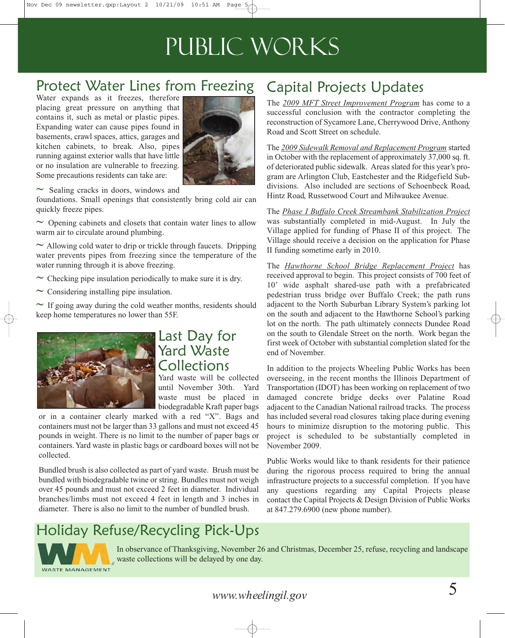## Public Works

### Protect Water Lines from Freezing

Water expands as it freezes, therefore placing great pressure on anything that contains it, such as metal or plastic pipes. Expanding water can cause pipes found in basements, crawl spaces, attics, garages and kitchen cabinets, to break. Also, pipes running against exterior walls that have little or no insulation are vulnerable to freezing. Some precautions residents can take are:



**~** Sealing cracks in doors, windows and

foundations. Small openings that consistently bring cold air can quickly freeze pipes.

**~** Opening cabinets and closets that contain water lines to allow warm air to circulate around plumbing.

**~** Allowing cold water to drip or trickle through faucets. Dripping water prevents pipes from freezing since the temperature of the water running through it is above freezing.

- **~** Checking pipe insulation periodically to make sure it is dry.
- **~** Considering installing pipe insulation.

**~** If going away during the cold weather months, residents should keep home temperatures no lower than 55F.



### Last Day for Yard Waste Collections

Yard waste will be collected until November 30th. Yard waste must be placed in biodegradable Kraft paper bags

or in a container clearly marked with a red "X". Bags and containers must not be larger than 33 gallons and must not exceed 45 pounds in weight. There is no limit to the number of paper bags or containers. Yard waste in plastic bags or cardboard boxes will not be collected.

Bundled brush is also collected as part of yard waste. Brush must be bundled with biodegradable twine or string. Bundles must not weigh over 45 pounds and must not exceed 2 feet in diameter. Individual branches/limbs must not exceed 4 feet in length and 3 inches in diameter. There is also no limit to the number of bundled brush.

### Capital Projects Updates

The *2009 MFT Street Improvement Program* has come to a successful conclusion with the contractor completing the reconstruction of Sycamore Lane, Cherrywood Drive, Anthony Road and Scott Street on schedule.

The *2009 Sidewalk Removal and Replacement Program* started in October with the replacement of approximately 37,000 sq. ft. of deteriorated public sidewalk. Areas slated for this year's program are Arlington Club, Eastchester and the Ridgefield Subdivisions. Also included are sections of Schoenbeck Road, Hintz Road, Russetwood Court and Milwaukee Avenue.

The *Phase I Buffalo Creek Streambank Stabilization Project* was substantially completed in mid-August. In July the Village applied for funding of Phase II of this project. The Village should receive a decision on the application for Phase II funding sometime early in 2010.

The *Hawthorne School Bridge Replacement Project* has received approval to begin. This project consists of 700 feet of 10' wide asphalt shared-use path with a prefabricated pedestrian truss bridge over Buffalo Creek; the path runs adjacent to the North Suburban Library System's parking lot on the south and adjacent to the Hawthorne School's parking lot on the north. The path ultimately connects Dundee Road on the south to Glendale Street on the north. Work began the first week of October with substantial completion slated for the end of November.

In addition to the projects Wheeling Public Works has been overseeing, in the recent months the Illinois Department of Transportation (IDOT) has been working on replacement of two damaged concrete bridge decks over Palatine Road adjacent to the Canadian National railroad tracks. The process has included several road closures taking place during evening hours to minimize disruption to the motoring public. This project is scheduled to be substantially completed in November 2009.

Public Works would like to thank residents for their patience during the rigorous process required to bring the annual infrastructure projects to a successful completion. If you have any questions regarding any Capital Projects please contact the Capital Projects & Design Division of Public Works at 847.279.6900 (new phone number).

### Holiday Refuse/Recycling Pick-Ups



In observance of Thanksgiving, November 26 and Christmas, December 25, refuse, recycling and landscape waste collections will be delayed by one day.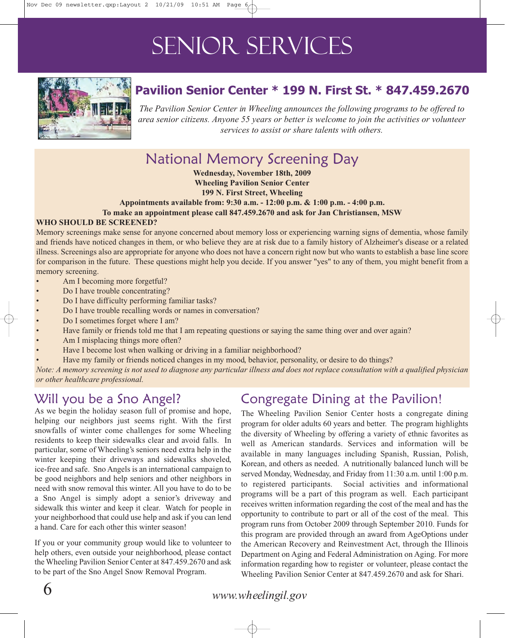## Senior Services



### **Pavilion Senior Center \* 199 N. First St. \* 847.459.2670**

*The Pavilion Senior Center in Wheeling announces the following programs to be offered to area senior citizens. Anyone 55 years or better is welcome to join the activities or volunteer services to assist or share talents with others.*

### National Memory Screening Day

**Wednesday, November 18th, 2009 Wheeling Pavilion Senior Center 199 N. First Street, Wheeling**

**Appointments available from: 9:30 a.m. - 12:00 p.m. & 1:00 p.m. - 4:00 p.m.**

**To make an appointment please call 847.459.2670 and ask for Jan Christiansen, MSW**

#### **WHO SHOULD BE SCREENED?**

Memory screenings make sense for anyone concerned about memory loss or experiencing warning signs of dementia, whose family and friends have noticed changes in them, or who believe they are at risk due to a family history of Alzheimer's disease or a related illness. Screenings also are appropriate for anyone who does not have a concern right now but who wants to establish a base line score for comparison in the future. These questions might help you decide. If you answer "yes" to any of them, you might benefit from a memory screening.

- Am I becoming more forgetful?
- Do I have trouble concentrating?
- Do I have difficulty performing familiar tasks?
- Do I have trouble recalling words or names in conversation?
- Do I sometimes forget where I am?
- Have family or friends told me that I am repeating questions or saying the same thing over and over again?
- Am I misplacing things more often?
- Have I become lost when walking or driving in a familiar neighborhood?
- Have my family or friends noticed changes in my mood, behavior, personality, or desire to do things?

*Note: A memory screening is not used to diagnose any particular illness and does not replace consultation with a qualified physician or other healthcare professional.* 

### Will you be a Sno Angel?

As we begin the holiday season full of promise and hope, helping our neighbors just seems right. With the first snowfalls of winter come challenges for some Wheeling residents to keep their sidewalks clear and avoid falls. In particular, some of Wheeling's seniors need extra help in the winter keeping their driveways and sidewalks shoveled, ice-free and safe. Sno Angels is an international campaign to be good neighbors and help seniors and other neighbors in need with snow removal this winter. All you have to do to be a Sno Angel is simply adopt a senior's driveway and sidewalk this winter and keep it clear. Watch for people in your neighborhood that could use help and ask if you can lend a hand. Care for each other this winter season!

If you or your community group would like to volunteer to help others, even outside your neighborhood, please contact the Wheeling Pavilion Senior Center at 847.459.2670 and ask to be part of the Sno Angel Snow Removal Program.

### Congregate Dining at the Pavilion!

The Wheeling Pavilion Senior Center hosts a congregate dining program for older adults 60 years and better. The program highlights the diversity of Wheeling by offering a variety of ethnic favorites as well as American standards. Services and information will be available in many languages including Spanish, Russian, Polish, Korean, and others as needed. A nutritionally balanced lunch will be served Monday, Wednesday, and Friday from 11:30 a.m. until 1:00 p.m. to registered participants. Social activities and informational programs will be a part of this program as well. Each participant receives written information regarding the cost of the meal and has the opportunity to contribute to part or all of the cost of the meal. This program runs from October 2009 through September 2010. Funds for this program are provided through an award from AgeOptions under the American Recovery and Reinvestment Act, through the Illinois Department on Aging and Federal Administration on Aging. For more information regarding how to register or volunteer, please contact the Wheeling Pavilion Senior Center at 847.459.2670 and ask for Shari.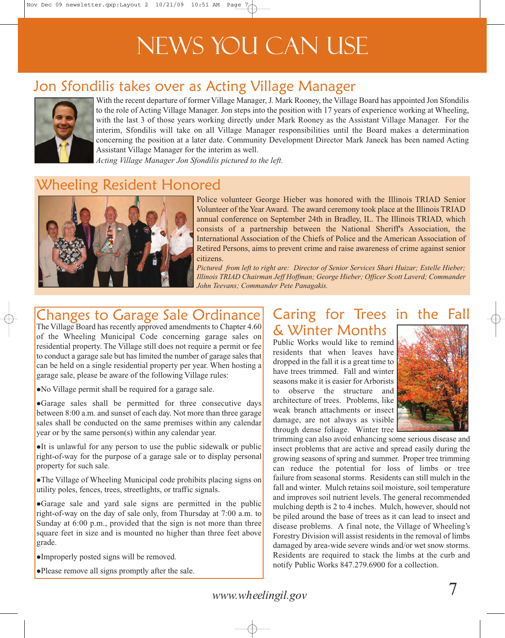## News You Can Use

### Jon Sfondilis takes over as Acting Village Manager



With the recent departure of former Village Manager, J. Mark Rooney, the Village Board has appointed Jon Sfondilis to the role of Acting Village Manager. Jon steps into the position with 17 years of experience working at Wheeling, with the last 3 of those years working directly under Mark Rooney as the Assistant Village Manager. For the interim, Sfondilis will take on all Village Manager responsibilities until the Board makes a determination concerning the position at a later date. Community Development Director Mark Janeck has been named Acting Assistant Village Manager for the interim as well.

*Acting Village Manager Jon Sfondilis pictured to the left.* 

### Wheeling Resident Honored



Police volunteer George Hieber was honored with the Illinois TRIAD Senior Volunteer of the Year Award. The award ceremony took place at the Illinois TRIAD annual conference on September 24th in Bradley, IL. The Illinois TRIAD, which consists of a partnership between the National Sheriff's Association, the International Association of the Chiefs of Police and the American Association of Retired Persons, aims to prevent crime and raise awareness of crime against senior citizens.

*Pictured from left to right are: Director of Senior Services Shari Huizar; Estelle Hieber; Illinois TRIAD Chairman Jeff Hoffman; George Hieber; Officer Scott Laverd; Commander John Teevans; Commander Pete Panagakis.*

### Changes to Garage Sale Ordinance

The Village Board has recently approved amendments to Chapter 4.60 of the Wheeling Municipal Code concerning garage sales on residential property. The Village still does not require a permit or fee to conduct a garage sale but has limited the number of garage sales that can be held on a single residential property per year. When hosting a garage sale, please be aware of the following Village rules:

-No Village permit shall be required for a garage sale.

•Garage sales shall be permitted for three consecutive days between 8:00 a.m. and sunset of each day. Not more than three garage sales shall be conducted on the same premises within any calendar year or by the same person(s) within any calendar year.

-It is unlawful for any person to use the public sidewalk or public right-of-way for the purpose of a garage sale or to display personal property for such sale.

-The Village of Wheeling Municipal code prohibits placing signs on utility poles, fences, trees, streetlights, or traffic signals.

•Garage sale and yard sale signs are permitted in the public right-of-way on the day of sale only, from Thursday at 7:00 a.m. to Sunday at 6:00 p.m., provided that the sign is not more than three square feet in size and is mounted no higher than three feet above grade.

-Improperly posted signs will be removed.

-Please remove all signs promptly after the sale.

### Caring for Trees in the Fall & Winter Months

Public Works would like to remind residents that when leaves have dropped in the fall it is a great time to have trees trimmed. Fall and winter seasons make it is easier for Arborists to observe the structure and architecture of trees. Problems, like weak branch attachments or insect damage, are not always as visible through dense foliage. Winter tree



trimming can also avoid enhancing some serious disease and insect problems that are active and spread easily during the growing seasons of spring and summer. Proper tree trimming can reduce the potential for loss of limbs or tree failure from seasonal storms. Residents can still mulch in the fall and winter. Mulch retains soil moisture, soil temperature and improves soil nutrient levels. The general recommended mulching depth is 2 to 4 inches. Mulch, however, should not be piled around the base of trees as it can lead to insect and disease problems. A final note, the Village of Wheeling's Forestry Division will assist residents in the removal of limbs damaged by area-wide severe winds and/or wet snow storms. Residents are required to stack the limbs at the curb and notify Public Works 847.279.6900 for a collection.